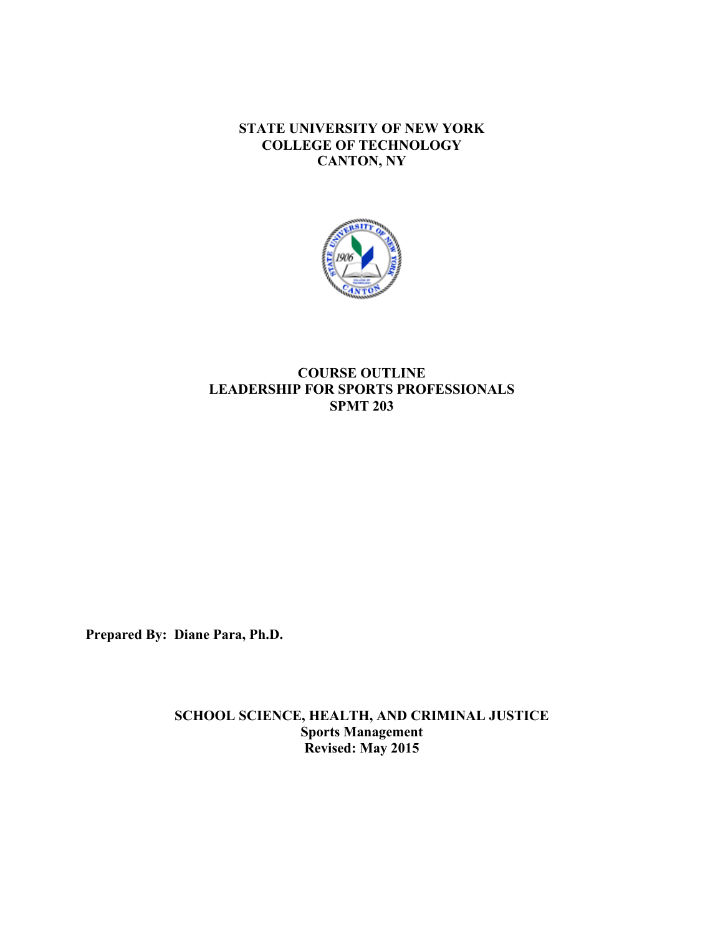**STATE UNIVERSITY OF NEW YORK COLLEGE OF TECHNOLOGY CANTON, NY**



# **COURSE OUTLINE LEADERSHIP FOR SPORTS PROFESSIONALS SPMT 203**

**Prepared By: Diane Para, Ph.D.** 

**SCHOOL SCIENCE, HEALTH, AND CRIMINAL JUSTICE Sports Management Revised: May 2015**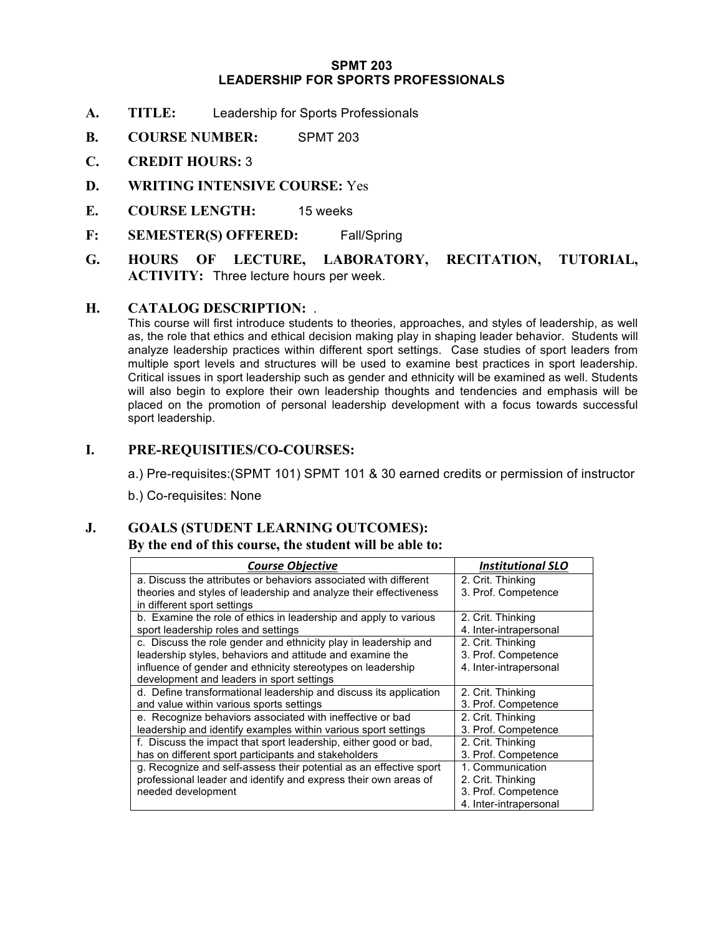#### **LEADERSHIP FOR SPORTS PROFESSIONALS SPMT 203**

- **A. TITLE:** Leadership for Sports Professionals
- **B. COURSE NUMBER:** SPMT 203
- **C. CREDIT HOURS:** 3
- **D. WRITING INTENSIVE COURSE:** Yes
- **E. COURSE LENGTH:** 15 weeks
- **F: SEMESTER(S) OFFERED:** Fall/Spring
- **G. HOURS OF LECTURE, LABORATORY, RECITATION, TUTORIAL, ACTIVITY:** Three lecture hours per week.

### **H. CATALOG DESCRIPTION:** .

 This course will first introduce students to theories, approaches, and styles of leadership, as well as, the role that ethics and ethical decision making play in shaping leader behavior. Students will analyze leadership practices within different sport settings. Case studies of sport leaders from multiple sport levels and structures will be used to examine best practices in sport leadership. Critical issues in sport leadership such as gender and ethnicity will be examined as well. Students will also begin to explore their own leadership thoughts and tendencies and emphasis will be placed on the promotion of personal leadership development with a focus towards successful sport leadership.

## **I. PRE-REQUISITIES/CO-COURSES:**

a.) Pre-requisites:(SPMT 101) SPMT 101 & 30 earned credits or permission of instructor

b.) Co-requisites: None

# **J. GOALS (STUDENT LEARNING OUTCOMES):**

#### **By the end of this course, the student will be able to:**

| <b>Course Objective</b>                                            | <b>Institutional SLO</b> |
|--------------------------------------------------------------------|--------------------------|
| a. Discuss the attributes or behaviors associated with different   | 2. Crit. Thinking        |
| theories and styles of leadership and analyze their effectiveness  | 3. Prof. Competence      |
| in different sport settings                                        |                          |
| b. Examine the role of ethics in leadership and apply to various   | 2. Crit. Thinking        |
| sport leadership roles and settings                                | 4. Inter-intrapersonal   |
| c. Discuss the role gender and ethnicity play in leadership and    | 2. Crit. Thinking        |
| leadership styles, behaviors and attitude and examine the          | 3. Prof. Competence      |
| influence of gender and ethnicity stereotypes on leadership        | 4. Inter-intrapersonal   |
| development and leaders in sport settings                          |                          |
| d. Define transformational leadership and discuss its application  | 2. Crit. Thinking        |
| and value within various sports settings                           | 3. Prof. Competence      |
| e. Recognize behaviors associated with ineffective or bad          | 2. Crit. Thinking        |
| leadership and identify examples within various sport settings     | 3. Prof. Competence      |
| f. Discuss the impact that sport leadership, either good or bad,   | 2. Crit. Thinking        |
| has on different sport participants and stakeholders               | 3. Prof. Competence      |
| g. Recognize and self-assess their potential as an effective sport | 1. Communication         |
| professional leader and identify and express their own areas of    | 2. Crit. Thinking        |
| needed development                                                 | 3. Prof. Competence      |
|                                                                    | 4. Inter-intrapersonal   |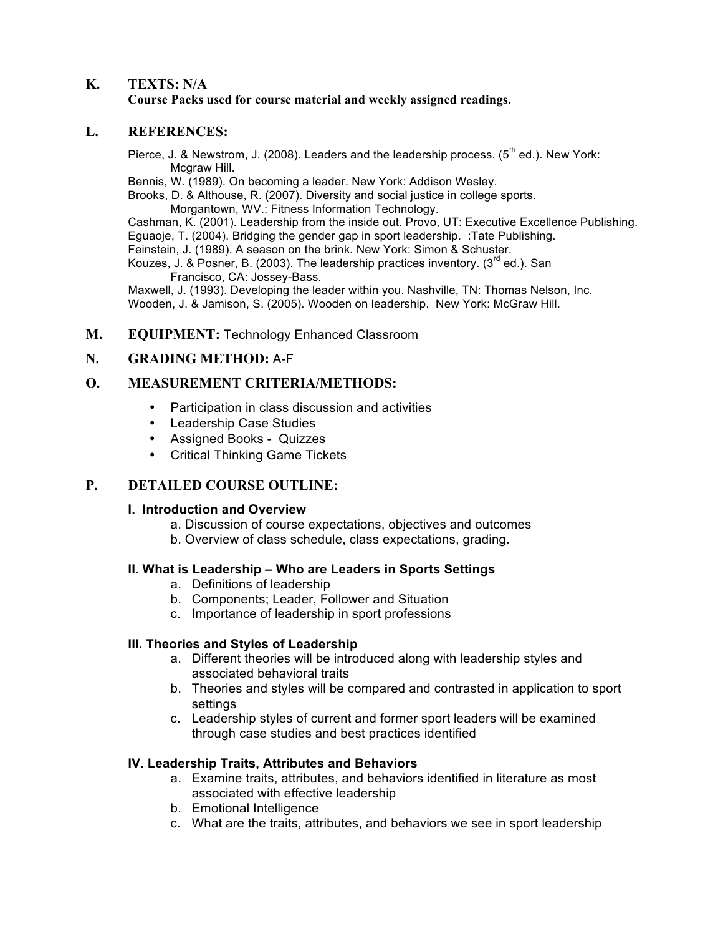#### **K. TEXTS: N/A Course Packs used for course material and weekly assigned readings.**

## **L. REFERENCES:**

Pierce, J. & Newstrom, J. (2008). Leaders and the leadership process. ( $5<sup>th</sup>$  ed.). New York: Mcgraw Hill.

Bennis, W. (1989). On becoming a leader. New York: Addison Wesley.

 Brooks, D. & Althouse, R. (2007). Diversity and social justice in college sports. Morgantown, WV.: Fitness Information Technology.

 Cashman, K. (2001). Leadership from the inside out. Provo, UT: Executive Excellence Publishing. Eguaoje, T. (2004). Bridging the gender gap in sport leadership. :Tate Publishing. Feinstein, J. (1989). A season on the brink. New York: Simon & Schuster.

Kouzes, J. & Posner, B. (2003). The leadership practices inventory. (3<sup>rd</sup> ed.). San Francisco, CA: Jossey-Bass.

 Maxwell, J. (1993). Developing the leader within you. Nashville, TN: Thomas Nelson, Inc. Wooden, J. & Jamison, S. (2005). Wooden on leadership. New York: McGraw Hill.

# **M. EQUIPMENT:** Technology Enhanced Classroom

## **N. GRADING METHOD:** A-F

# **O. MEASUREMENT CRITERIA/METHODS:**

- Participation in class discussion and activities
- • Leadership Case Studies
- • Assigned Books Quizzes
- Critical Thinking Game Tickets

# **P. DETAILED COURSE OUTLINE:**

#### **I. Introduction and Overview**

- a. Discussion of course expectations, objectives and outcomes
- b. Overview of class schedule, class expectations, grading.

#### **II. What is Leadership – Who are Leaders in Sports Settings**

- a. Definitions of leadership
- b. Components; Leader, Follower and Situation
- c. Importance of leadership in sport professions

#### **III. Theories and Styles of Leadership**

- a. Different theories will be introduced along with leadership styles and associated behavioral traits
- b. Theories and styles will be compared and contrasted in application to sport settings
- c. Leadership styles of current and former sport leaders will be examined through case studies and best practices identified

#### **IV. Leadership Traits, Attributes and Behaviors**

- a. Examine traits, attributes, and behaviors identified in literature as most associated with effective leadership
- b. Emotional Intelligence
- c. What are the traits, attributes, and behaviors we see in sport leadership